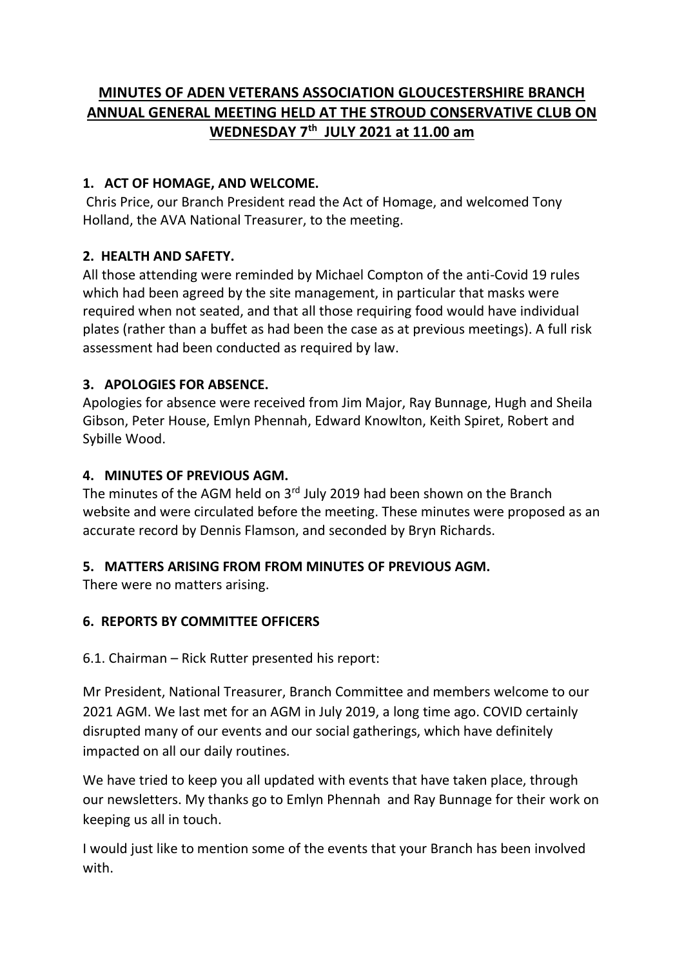# **MINUTES OF ADEN VETERANS ASSOCIATION GLOUCESTERSHIRE BRANCH ANNUAL GENERAL MEETING HELD AT THE STROUD CONSERVATIVE CLUB ON WEDNESDAY 7th JULY 2021 at 11.00 am**

# **1. ACT OF HOMAGE, AND WELCOME.**

Chris Price, our Branch President read the Act of Homage, and welcomed Tony Holland, the AVA National Treasurer, to the meeting.

# **2. HEALTH AND SAFETY.**

All those attending were reminded by Michael Compton of the anti-Covid 19 rules which had been agreed by the site management, in particular that masks were required when not seated, and that all those requiring food would have individual plates (rather than a buffet as had been the case as at previous meetings). A full risk assessment had been conducted as required by law.

## **3. APOLOGIES FOR ABSENCE.**

Apologies for absence were received from Jim Major, Ray Bunnage, Hugh and Sheila Gibson, Peter House, Emlyn Phennah, Edward Knowlton, Keith Spiret, Robert and Sybille Wood.

## **4. MINUTES OF PREVIOUS AGM.**

The minutes of the AGM held on  $3<sup>rd</sup>$  July 2019 had been shown on the Branch website and were circulated before the meeting. These minutes were proposed as an accurate record by Dennis Flamson, and seconded by Bryn Richards.

#### **5. MATTERS ARISING FROM FROM MINUTES OF PREVIOUS AGM.**

There were no matters arising.

# **6. REPORTS BY COMMITTEE OFFICERS**

6.1. Chairman – Rick Rutter presented his report:

Mr President, National Treasurer, Branch Committee and members welcome to our 2021 AGM. We last met for an AGM in July 2019, a long time ago. COVID certainly disrupted many of our events and our social gatherings, which have definitely impacted on all our daily routines.

We have tried to keep you all updated with events that have taken place, through our newsletters. My thanks go to Emlyn Phennah and Ray Bunnage for their work on keeping us all in touch.

I would just like to mention some of the events that your Branch has been involved with.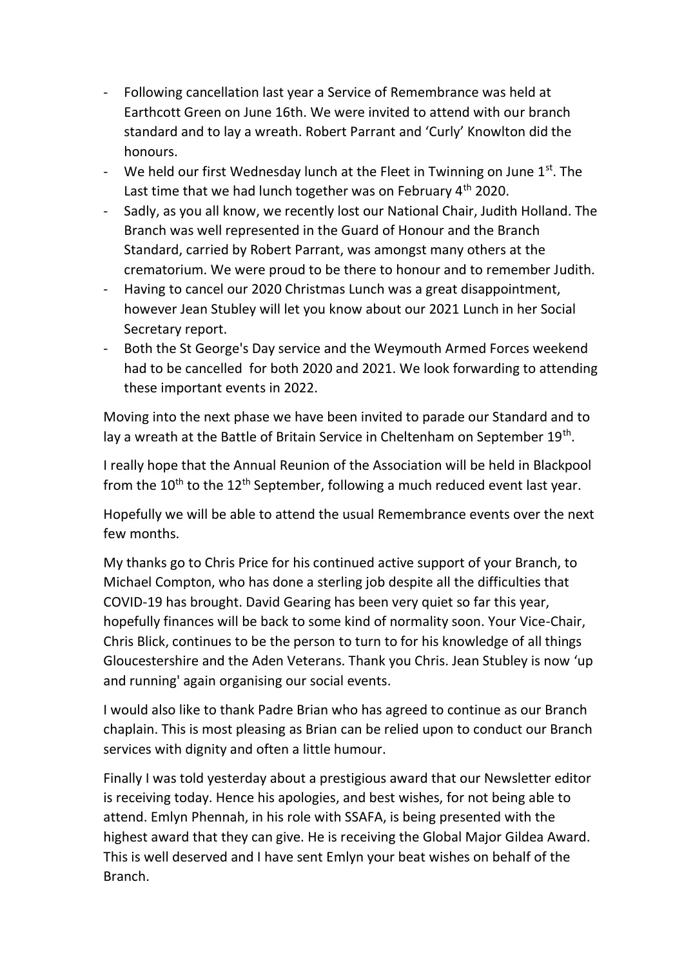- Following cancellation last year a Service of Remembrance was held at Earthcott Green on June 16th. We were invited to attend with our branch standard and to lay a wreath. Robert Parrant and 'Curly' Knowlton did the honours.
- We held our first Wednesday lunch at the Fleet in Twinning on June  $1<sup>st</sup>$ . The Last time that we had lunch together was on February 4<sup>th</sup> 2020.
- Sadly, as you all know, we recently lost our National Chair, Judith Holland. The Branch was well represented in the Guard of Honour and the Branch Standard, carried by Robert Parrant, was amongst many others at the crematorium. We were proud to be there to honour and to remember Judith.
- Having to cancel our 2020 Christmas Lunch was a great disappointment, however Jean Stubley will let you know about our 2021 Lunch in her Social Secretary report.
- Both the St George's Day service and the Weymouth Armed Forces weekend had to be cancelled for both 2020 and 2021. We look forwarding to attending these important events in 2022.

Moving into the next phase we have been invited to parade our Standard and to lay a wreath at the Battle of Britain Service in Cheltenham on September 19<sup>th</sup>.

I really hope that the Annual Reunion of the Association will be held in Blackpool from the  $10^{th}$  to the  $12^{th}$  September, following a much reduced event last year.

Hopefully we will be able to attend the usual Remembrance events over the next few months.

My thanks go to Chris Price for his continued active support of your Branch, to Michael Compton, who has done a sterling job despite all the difficulties that COVID-19 has brought. David Gearing has been very quiet so far this year, hopefully finances will be back to some kind of normality soon. Your Vice-Chair, Chris Blick, continues to be the person to turn to for his knowledge of all things Gloucestershire and the Aden Veterans. Thank you Chris. Jean Stubley is now 'up and running' again organising our social events.

I would also like to thank Padre Brian who has agreed to continue as our Branch chaplain. This is most pleasing as Brian can be relied upon to conduct our Branch services with dignity and often a little humour.

Finally I was told yesterday about a prestigious award that our Newsletter editor is receiving today. Hence his apologies, and best wishes, for not being able to attend. Emlyn Phennah, in his role with SSAFA, is being presented with the highest award that they can give. He is receiving the Global Major Gildea Award. This is well deserved and I have sent Emlyn your beat wishes on behalf of the Branch.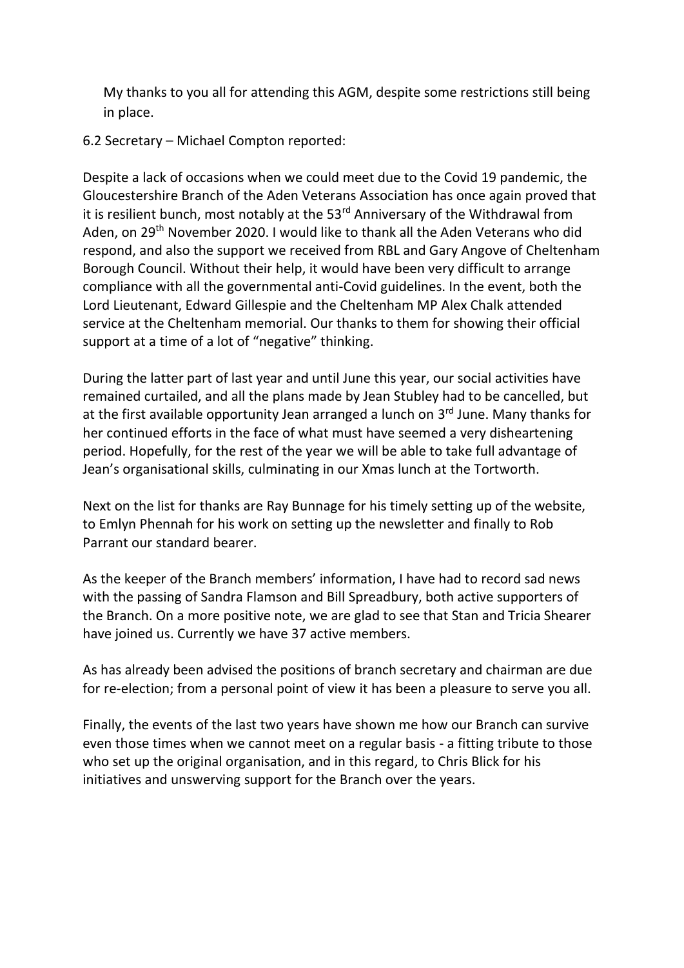My thanks to you all for attending this AGM, despite some restrictions still being in place.

#### 6.2 Secretary – Michael Compton reported:

Despite a lack of occasions when we could meet due to the Covid 19 pandemic, the Gloucestershire Branch of the Aden Veterans Association has once again proved that it is resilient bunch, most notably at the  $53<sup>rd</sup>$  Anniversary of the Withdrawal from Aden, on 29<sup>th</sup> November 2020. I would like to thank all the Aden Veterans who did respond, and also the support we received from RBL and Gary Angove of Cheltenham Borough Council. Without their help, it would have been very difficult to arrange compliance with all the governmental anti-Covid guidelines. In the event, both the Lord Lieutenant, Edward Gillespie and the Cheltenham MP Alex Chalk attended service at the Cheltenham memorial. Our thanks to them for showing their official support at a time of a lot of "negative" thinking.

During the latter part of last year and until June this year, our social activities have remained curtailed, and all the plans made by Jean Stubley had to be cancelled, but at the first available opportunity Jean arranged a lunch on 3<sup>rd</sup> June. Many thanks for her continued efforts in the face of what must have seemed a very disheartening period. Hopefully, for the rest of the year we will be able to take full advantage of Jean's organisational skills, culminating in our Xmas lunch at the Tortworth.

Next on the list for thanks are Ray Bunnage for his timely setting up of the website, to Emlyn Phennah for his work on setting up the newsletter and finally to Rob Parrant our standard bearer.

As the keeper of the Branch members' information, I have had to record sad news with the passing of Sandra Flamson and Bill Spreadbury, both active supporters of the Branch. On a more positive note, we are glad to see that Stan and Tricia Shearer have joined us. Currently we have 37 active members.

As has already been advised the positions of branch secretary and chairman are due for re-election; from a personal point of view it has been a pleasure to serve you all.

Finally, the events of the last two years have shown me how our Branch can survive even those times when we cannot meet on a regular basis - a fitting tribute to those who set up the original organisation, and in this regard, to Chris Blick for his initiatives and unswerving support for the Branch over the years.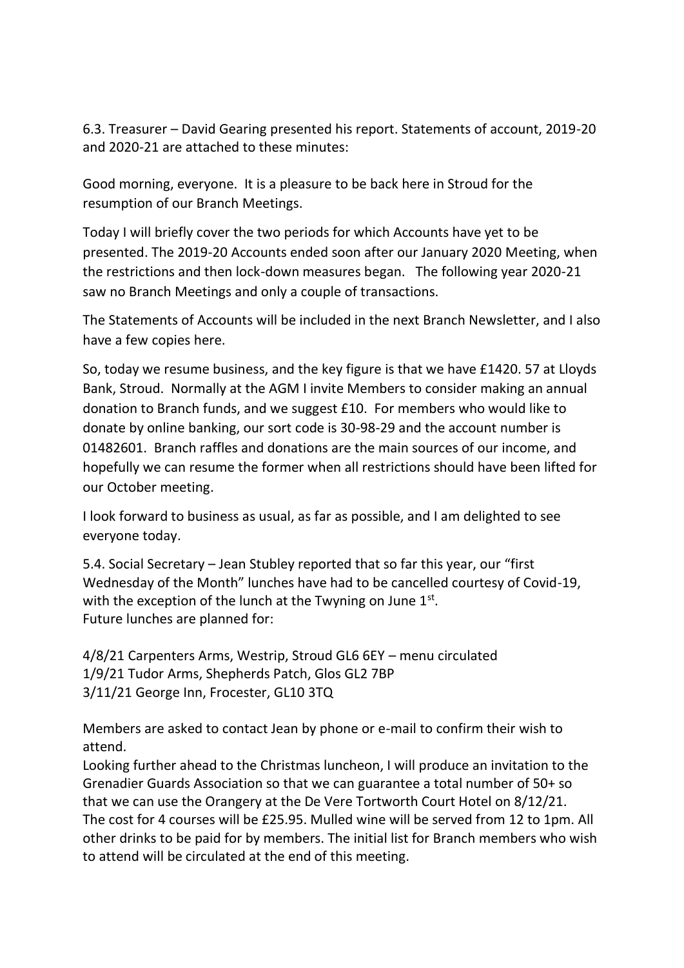6.3. Treasurer – David Gearing presented his report. Statements of account, 2019-20 and 2020-21 are attached to these minutes:

Good morning, everyone. It is a pleasure to be back here in Stroud for the resumption of our Branch Meetings.

Today I will briefly cover the two periods for which Accounts have yet to be presented. The 2019-20 Accounts ended soon after our January 2020 Meeting, when the restrictions and then lock-down measures began. The following year 2020-21 saw no Branch Meetings and only a couple of transactions.

The Statements of Accounts will be included in the next Branch Newsletter, and I also have a few copies here.

So, today we resume business, and the key figure is that we have £1420. 57 at Lloyds Bank, Stroud. Normally at the AGM I invite Members to consider making an annual donation to Branch funds, and we suggest £10. For members who would like to donate by online banking, our sort code is 30-98-29 and the account number is 01482601. Branch raffles and donations are the main sources of our income, and hopefully we can resume the former when all restrictions should have been lifted for our October meeting.

I look forward to business as usual, as far as possible, and I am delighted to see everyone today.

5.4. Social Secretary – Jean Stubley reported that so far this year, our "first Wednesday of the Month" lunches have had to be cancelled courtesy of Covid-19, with the exception of the lunch at the Twyning on June  $1<sup>st</sup>$ . Future lunches are planned for:

4/8/21 Carpenters Arms, Westrip, Stroud GL6 6EY – menu circulated 1/9/21 Tudor Arms, Shepherds Patch, Glos GL2 7BP 3/11/21 George Inn, Frocester, GL10 3TQ

Members are asked to contact Jean by phone or e-mail to confirm their wish to attend.

Looking further ahead to the Christmas luncheon, I will produce an invitation to the Grenadier Guards Association so that we can guarantee a total number of 50+ so that we can use the Orangery at the De Vere Tortworth Court Hotel on 8/12/21. The cost for 4 courses will be £25.95. Mulled wine will be served from 12 to 1pm. All other drinks to be paid for by members. The initial list for Branch members who wish to attend will be circulated at the end of this meeting.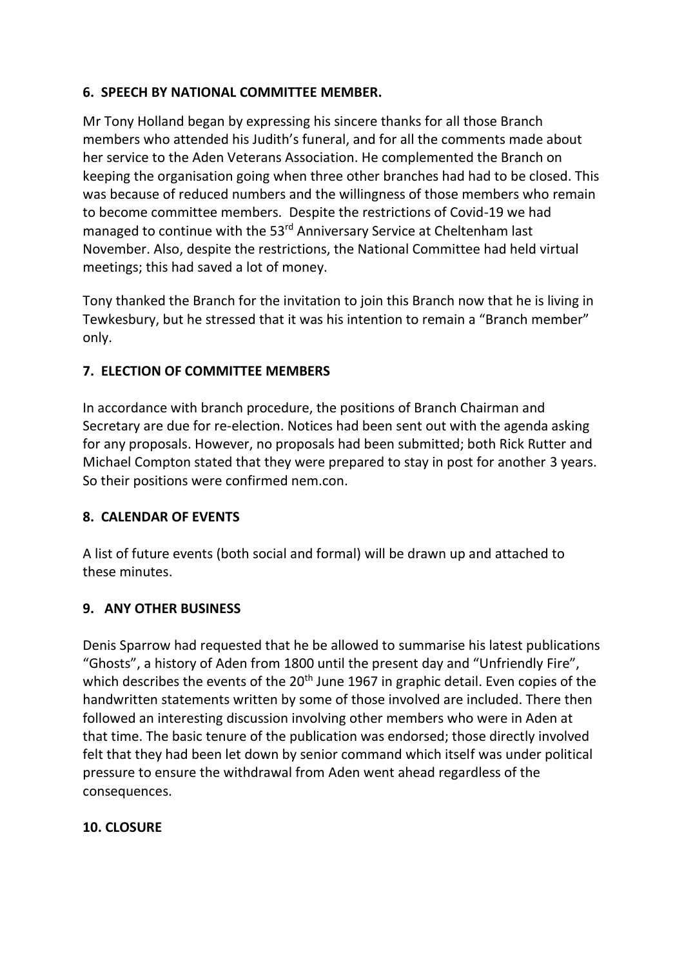## **6. SPEECH BY NATIONAL COMMITTEE MEMBER.**

Mr Tony Holland began by expressing his sincere thanks for all those Branch members who attended his Judith's funeral, and for all the comments made about her service to the Aden Veterans Association. He complemented the Branch on keeping the organisation going when three other branches had had to be closed. This was because of reduced numbers and the willingness of those members who remain to become committee members. Despite the restrictions of Covid-19 we had managed to continue with the 53<sup>rd</sup> Anniversary Service at Cheltenham last November. Also, despite the restrictions, the National Committee had held virtual meetings; this had saved a lot of money.

Tony thanked the Branch for the invitation to join this Branch now that he is living in Tewkesbury, but he stressed that it was his intention to remain a "Branch member" only.

## **7. ELECTION OF COMMITTEE MEMBERS**

In accordance with branch procedure, the positions of Branch Chairman and Secretary are due for re-election. Notices had been sent out with the agenda asking for any proposals. However, no proposals had been submitted; both Rick Rutter and Michael Compton stated that they were prepared to stay in post for another 3 years. So their positions were confirmed nem.con.

#### **8. CALENDAR OF EVENTS**

A list of future events (both social and formal) will be drawn up and attached to these minutes.

#### **9. ANY OTHER BUSINESS**

Denis Sparrow had requested that he be allowed to summarise his latest publications "Ghosts", a history of Aden from 1800 until the present day and "Unfriendly Fire", which describes the events of the  $20<sup>th</sup>$  June 1967 in graphic detail. Even copies of the handwritten statements written by some of those involved are included. There then followed an interesting discussion involving other members who were in Aden at that time. The basic tenure of the publication was endorsed; those directly involved felt that they had been let down by senior command which itself was under political pressure to ensure the withdrawal from Aden went ahead regardless of the consequences.

#### **10. CLOSURE**